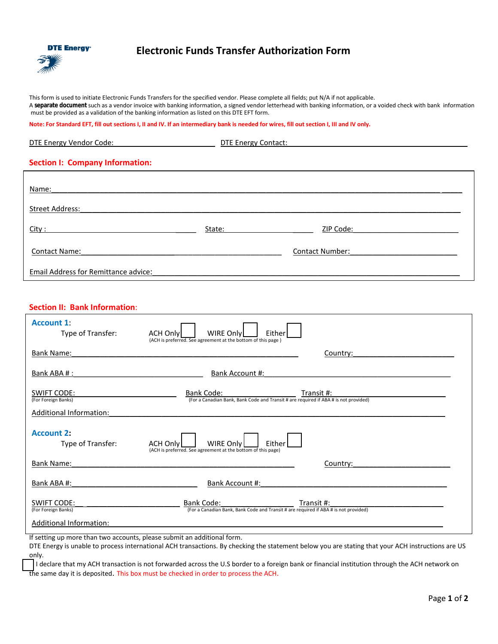

## **Electronic Funds Transfer Authorization Form**

This form is used to initiate Electronic Funds Transfers for the specified vendor. Please complete all fields; put N/A if not applicable. A **separate document** such as a vendor invoice with banking information, a signed vendor letterhead with banking information, or a voided check with bank information must be provided as a validation of the banking information as listed on this DTE EFT form.

**Note: For Standard EFT, fill out sections I, II and IV. If an intermediary bank is needed for wires, fill out section I, III and IV only.** 

Contact Name:\_\_\_\_\_\_\_\_\_\_\_\_\_\_\_\_\_\_\_\_\_\_\_\_\_\_\_\_\_\_\_\_\_\_\_\_\_\_\_\_\_\_\_\_\_ Contact Number:\_\_\_\_\_\_\_\_\_\_\_\_\_\_\_\_\_\_\_\_\_\_\_\_

| DTE Energy Vendor Code:                | <b>DTE Energy Contact:</b> |           |
|----------------------------------------|----------------------------|-----------|
| <b>Section I: Company Information:</b> |                            |           |
| Name:                                  |                            |           |
| <b>Street Address:</b>                 |                            |           |
| City:                                  | State:                     | ZIP Code: |
|                                        |                            |           |

Email Address for Remittance advice:

## **Section II: Bank Information**:

| <b>Account 1:</b><br>Type of Transfer:                                           | WIRE Only<br><b>ACH Onlyl</b><br>Either<br>(ACH is preferred. See agreement at the bottom of this page)                                           |
|----------------------------------------------------------------------------------|---------------------------------------------------------------------------------------------------------------------------------------------------|
| <b>Bank Name:</b>                                                                | Country:                                                                                                                                          |
| Bank ABA #:                                                                      | Bank Account #:                                                                                                                                   |
| <b>SWIFT CODE:</b><br>(For Foreign Banks)                                        | Bank Code:<br>Transit #:<br>(For a Canadian Bank, Bank Code and Transit # are required if ABA # is not provided)                                  |
| <b>Additional Information:</b>                                                   |                                                                                                                                                   |
| <b>Account 2:</b><br>Type of Transfer:                                           | <b>WIRE Only</b><br>Either<br><b>ACH Only</b><br>(ACH is preferred. See agreement at the bottom of this page)                                     |
| <b>Bank Name:</b>                                                                | Country:                                                                                                                                          |
| Bank ABA #:                                                                      | Bank Account #:                                                                                                                                   |
| <b>SWIFT CODE:</b><br>(For Foreign Banks)                                        | Bank Code:<br>Transit #:<br>(For a Canadian Bank, Bank Code and Transit # are required if ABA # is not provided)                                  |
| Additional Information:                                                          |                                                                                                                                                   |
| If setting up more than two accounts, please submit an additional form.<br>only. | DTE Energy is unable to process international ACH transactions. By checking the statement below you are stating that your ACH instructions are US |

 I declare that my ACH transaction is not forwarded across the U.S border to a foreign bank or financial institution through the ACH network on the same day it is deposited. This box must be checked in order to process the ACH.